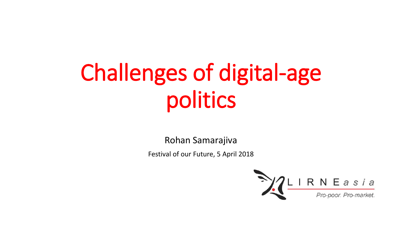# Challenges of digital-age politics

Rohan Samarajiva

Festival of our Future, 5 April 2018

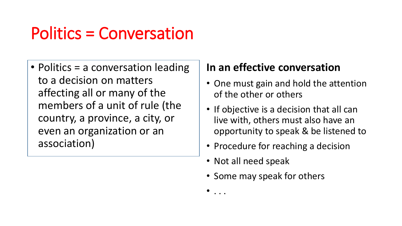## Politics = Conversation

• Politics = a conversation leading to a decision on matters affecting all or many of the members of a unit of rule (the country, a province, a city, or even an organization or an association)

#### **In an effective conversation**

- One must gain and hold the attention of the other or others
- If objective is a decision that all can live with, others must also have an opportunity to speak & be listened to
- Procedure for reaching a decision
- Not all need speak

 $\bullet$  . . .

• Some may speak for others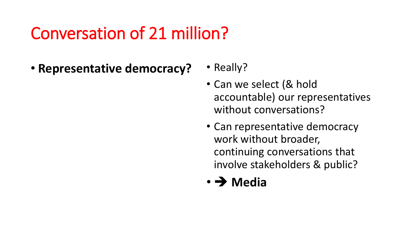### Conversation of 21 million?

- **Representative democracy?** Really?
	-
	- Can we select (& hold accountable) our representatives without conversations?
	- Can representative democracy work without broader, continuing conversations that involve stakeholders & public?

### • **Media**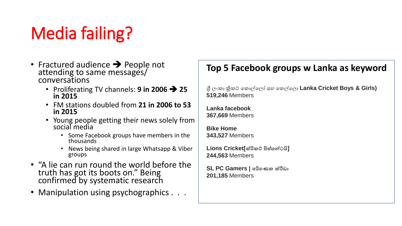# Media failing?

- Fractured audience  $\rightarrow$  People not attending to same messages/ conversations
	- Proliferating TV channels:  $9$  in 2006  $\rightarrow$  25 **in 2015**
	- FM stations doubled from **21 in 2006 to 53 in 2015**
	- Young people getting their news solely from social media
		- Some Facebook groups have members in the thousands
		- News being shared in large Whatsapp & Viber groups
- "A lie can run round the world before the truth has got its boots on." Being confirmed by systematic research
- Manipulation using psychographics . . .

#### **Top 5 Facebook groups w Lanka as keyword**

ශ්රී ලංකා ක්රිකට් කකාලකලෝ සහ කකලකලා **Lanka Cricket Boys & Girls) 519,246** Members

**Lanka facebook 367,669** Members

**Bike Home 343,527** Members

**Lions Cricket[ක්රිකට් පිස්සන්ටයි] 244,563** Members

**SL PC Gamers | පරිගණක ක්රීඩා 201,185** Members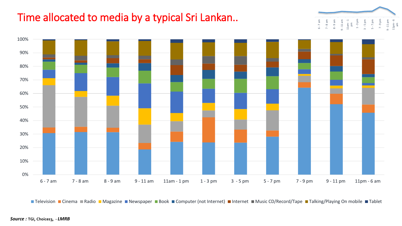### Time allocated to media by a typical Sri Lankan..



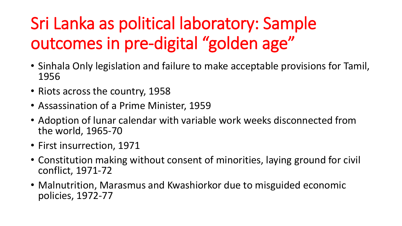# Sri Lanka as political laboratory: Sample outcomes in pre-digital "golden age"

- Sinhala Only legislation and failure to make acceptable provisions for Tamil, 1956
- Riots across the country, 1958
- Assassination of a Prime Minister, 1959
- Adoption of lunar calendar with variable work weeks disconnected from the world, 1965-70
- First insurrection, 1971
- Constitution making without consent of minorities, laying ground for civil conflict, 1971-72
- Malnutrition, Marasmus and Kwashiorkor due to misguided economic policies, 1972-77